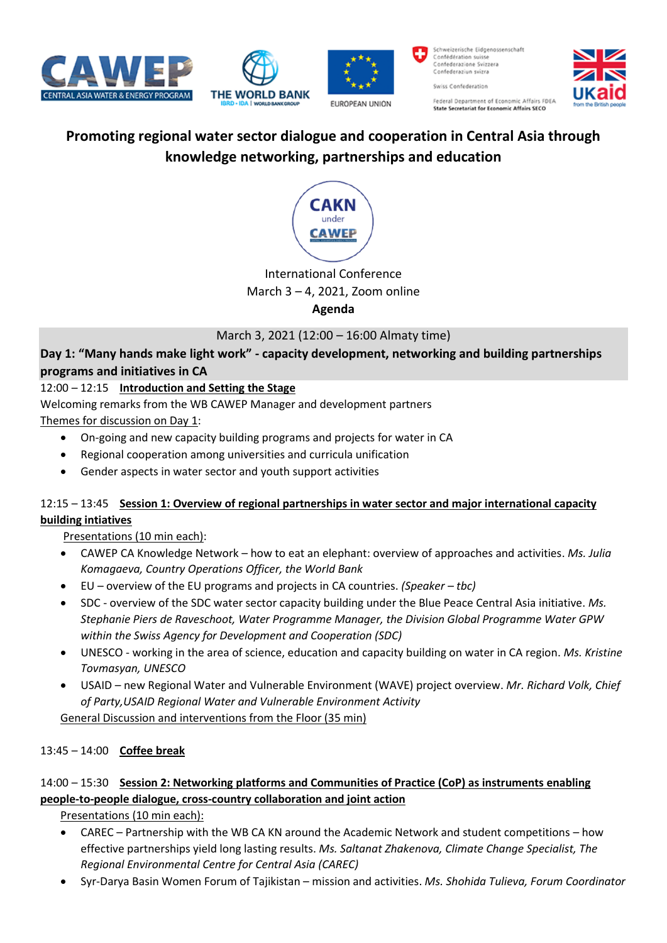







Schweizerische Eidgenossenschaft<br>Confédération suisse Confederazione Svizzera Confederaziun svizra Swiss Confederation Federal Department of Economic Affairs FDEA State Secretariat for Economic Affairs SECO



# **Promoting regional water sector dialogue and cooperation in Central Asia through knowledge networking, partnerships and education**



# International Conference

## March 3 – 4, 2021, Zoom online

## **Agenda**

# March 3, 2021 (12:00 – 16:00 Almaty time)

# **Day 1: "Many hands make light work" - capacity development, networking and building partnerships programs and initiatives in CA**

# 12:00 – 12:15 **Introduction and Setting the Stage**

Welcoming remarks from the WB CAWEP Manager and development partners

Themes for discussion on Day 1:

- On-going and new capacity building programs and projects for water in CA
- Regional cooperation among universities and curricula unification
- Gender aspects in water sector and youth support activities

## 12:15 – 13:45 **Session 1: Overview of regional partnerships in water sector and major international capacity building intiatives**

Presentations (10 min each):

- CAWEP CA Knowledge Network how to eat an elephant: overview of approaches and activities. *Ms. Julia Komagaeva, Country Operations Officer, the World Bank*
- EU overview of the EU programs and projects in CA countries. *(Speaker – tbc)*
- SDC overview of the SDC water sector capacity building under the Blue Peace Central Asia initiative. *Ms. Stephanie Piers de Raveschoot, Water Programme Manager, the Division Global Programme Water GPW within the Swiss Agency for Development and Cooperation (SDC)*
- UNESCO working in the area of science, education and capacity building on water in CA region. *Ms. Kristine Tovmasyan, UNESCO*
- USAID new Regional Water and Vulnerable Environment (WAVE) project overview. *Mr. Richard Volk, Chief of Party,USAID Regional Water and Vulnerable Environment Activity*

General Discussion and interventions from the Floor (35 min)

# 13:45 – 14:00 **Coffee break**

# 14:00 – 15:30 **Session 2: Networking platforms and Communities of Practice (CoP) as instruments enabling people-to-people dialogue, cross-country collaboration and joint action**

Presentations (10 min each):

- CAREC Partnership with the WB CA KN around the Academic Network and student competitions how effective partnerships yield long lasting results. *Ms. Saltanat Zhakenova, Climate Change Specialist, The Regional Environmental Centre for Central Asia (CAREC)*
- Syr-Darya Basin Women Forum of Tajikistan mission and activities. *Ms. Shohida Tulieva, Forum Coordinator*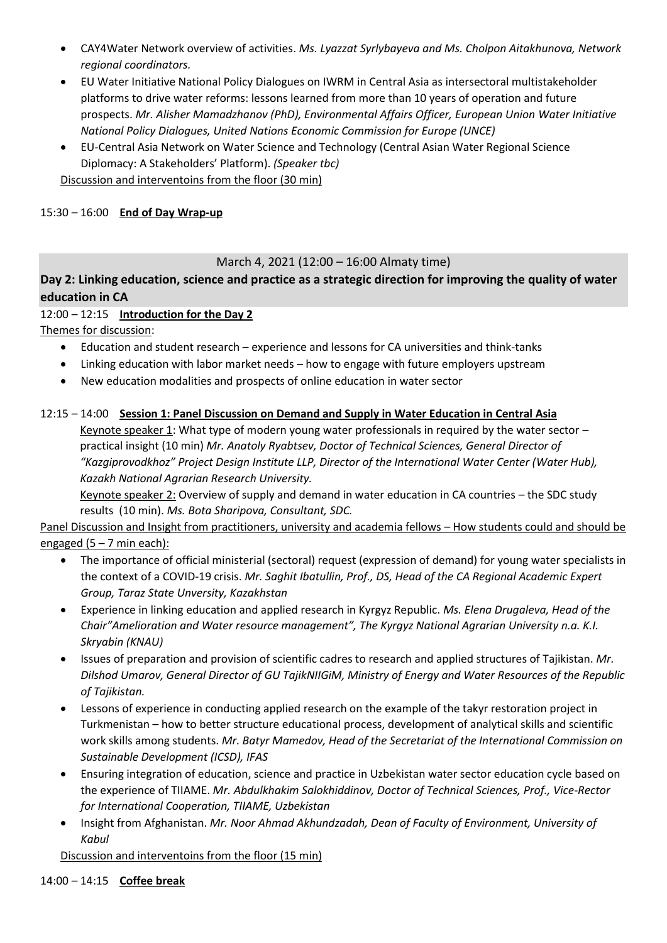- CAY4Water Network overview of activities. *Ms. Lyazzat Syrlybayeva and Ms. Cholpon Aitakhunova, Network regional coordinators.*
- EU Water Initiative National Policy Dialogues on IWRM in Central Asia as intersectoral multistakeholder platforms to drive water reforms: lessons learned from more than 10 years of operation and future prospects. *Mr. Alisher Mamadzhanov (PhD), Environmental Affairs Officer, European Union Water Initiative National Policy Dialogues, United Nations Economic Commission for Europe (UNCE)*
- EU-Central Asia Network on Water Science and Technology (Central Asian Water Regional Science Diplomacy: A Stakeholders' Platform). *(Speaker tbc)*

Discussion and interventoins from the floor (30 min)

#### 15:30 – 16:00 **End of Day Wrap-up**

#### March 4, 2021 (12:00 – 16:00 Almaty time)

# **Day 2: Linking education, science and practice as a strategic direction for improving the quality of water education in CA**

12:00 – 12:15 **Introduction for the Day 2**

Themes for discussion:

- Education and student research experience and lessons for CA universities and think-tanks
- Linking education with labor market needs how to engage with future employers upstream
- New education modalities and prospects of online education in water sector

#### 12:15 – 14:00 **Session 1: Panel Discussion on Demand and Supply in Water Education in Central Asia**

Keynote speaker 1: What type of modern young water professionals in required by the water sector – practical insight (10 min) *Mr. Anatoly Ryabtsev, Doctor of Technical Sciences, General Director of "Kazgiprovodkhoz" Project Design Institute LLP, Director of the International Water Center (Water Hub), Kazakh National Agrarian Research University.*

Keynote speaker 2: Overview of supply and demand in water education in CA countries – the SDC study results (10 min). *Ms. Bota Sharipova, Consultant, SDC.*

Panel Discussion and Insight from practitioners, university and academia fellows – How students could and should be engaged  $(5 - 7$  min each):

- The importance of official ministerial (sectoral) request (expression of demand) for young water specialists in the context of a COVID-19 crisis. *Mr. Saghit Ibatullin, Prof., DS, Head of the CA Regional Academic Expert Group, Taraz State Unversity, Kazakhstan*
- Experience in linking education and applied research in Kyrgyz Republic. *Ms. Elena Drugaleva, Head of the Chair"Amelioration and Water resource management", The Kyrgyz National Agrarian University n.a. K.I. Skryabin (KNAU)*
- Issues of preparation and provision of scientific cadres to research and applied structures of Tajikistan. *Mr. Dilshod Umarov, General Director of GU TajikNIIGiM, Ministry of Energy and Water Resources of the Republic of Tajikistan.*
- Lessons of experience in conducting applied research on the example of the takyr restoration project in Turkmenistan – how to better structure educational process, development of analytical skills and scientific work skills among students. *Mr. Batyr Mamedov, Head of the Secretariat of the International Commission on Sustainable Development (ICSD), IFAS*
- Ensuring integration of education, science and practice in Uzbekistan water sector education cycle based on the experience of TIIAME. *Mr. Abdulkhakim Salokhiddinov, Doctor of Technical Sciences, Prof., Vice-Rector for International Cooperation, TIIAME, Uzbekistan*
- Insight from Afghanistan. *Mr. Noor Ahmad Akhundzadah, Dean of Faculty of Environment, University of Kabul*

Discussion and interventoins from the floor (15 min)